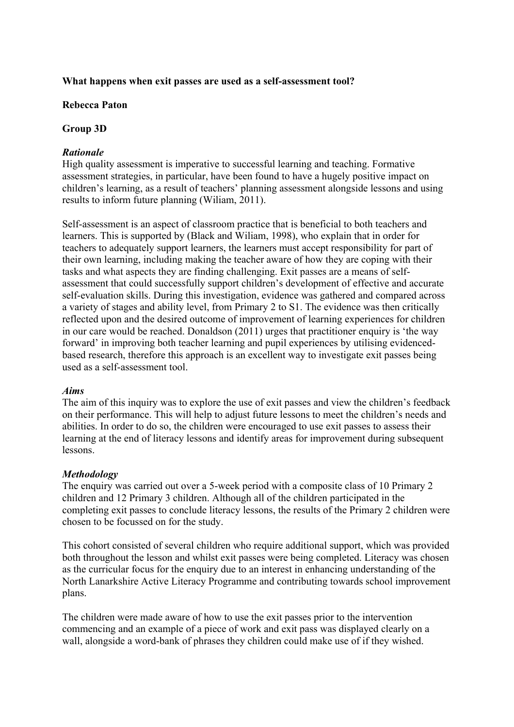#### **What happens when exit passes are used as a self-assessment tool?**

#### **Rebecca Paton**

#### **Group 3D**

### *Rationale*

High quality assessment is imperative to successful learning and teaching. Formative assessment strategies, in particular, have been found to have a hugely positive impact on children's learning, as a result of teachers' planning assessment alongside lessons and using results to inform future planning (Wiliam, 2011).

Self-assessment is an aspect of classroom practice that is beneficial to both teachers and learners. This is supported by (Black and Wiliam, 1998), who explain that in order for teachers to adequately support learners, the learners must accept responsibility for part of their own learning, including making the teacher aware of how they are coping with their tasks and what aspects they are finding challenging. Exit passes are a means of selfassessment that could successfully support children's development of effective and accurate self-evaluation skills. During this investigation, evidence was gathered and compared across a variety of stages and ability level, from Primary 2 to S1. The evidence was then critically reflected upon and the desired outcome of improvement of learning experiences for children in our care would be reached. Donaldson (2011) urges that practitioner enquiry is 'the way forward' in improving both teacher learning and pupil experiences by utilising evidencedbased research, therefore this approach is an excellent way to investigate exit passes being used as a self-assessment tool.

#### *Aims*

The aim of this inquiry was to explore the use of exit passes and view the children's feedback on their performance. This will help to adjust future lessons to meet the children's needs and abilities. In order to do so, the children were encouraged to use exit passes to assess their learning at the end of literacy lessons and identify areas for improvement during subsequent lessons.

#### *Methodology*

The enquiry was carried out over a 5-week period with a composite class of 10 Primary 2 children and 12 Primary 3 children. Although all of the children participated in the completing exit passes to conclude literacy lessons, the results of the Primary 2 children were chosen to be focussed on for the study.

This cohort consisted of several children who require additional support, which was provided both throughout the lesson and whilst exit passes were being completed. Literacy was chosen as the curricular focus for the enquiry due to an interest in enhancing understanding of the North Lanarkshire Active Literacy Programme and contributing towards school improvement plans.

The children were made aware of how to use the exit passes prior to the intervention commencing and an example of a piece of work and exit pass was displayed clearly on a wall, alongside a word-bank of phrases they children could make use of if they wished.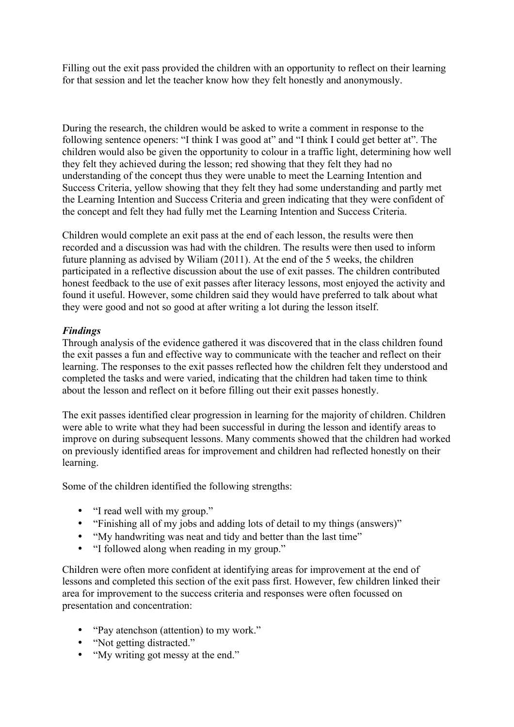Filling out the exit pass provided the children with an opportunity to reflect on their learning for that session and let the teacher know how they felt honestly and anonymously.

During the research, the children would be asked to write a comment in response to the following sentence openers: "I think I was good at" and "I think I could get better at". The children would also be given the opportunity to colour in a traffic light, determining how well they felt they achieved during the lesson; red showing that they felt they had no understanding of the concept thus they were unable to meet the Learning Intention and Success Criteria, yellow showing that they felt they had some understanding and partly met the Learning Intention and Success Criteria and green indicating that they were confident of the concept and felt they had fully met the Learning Intention and Success Criteria.

Children would complete an exit pass at the end of each lesson, the results were then recorded and a discussion was had with the children. The results were then used to inform future planning as advised by Wiliam (2011). At the end of the 5 weeks, the children participated in a reflective discussion about the use of exit passes. The children contributed honest feedback to the use of exit passes after literacy lessons, most enjoyed the activity and found it useful. However, some children said they would have preferred to talk about what they were good and not so good at after writing a lot during the lesson itself.

# *Findings*

Through analysis of the evidence gathered it was discovered that in the class children found the exit passes a fun and effective way to communicate with the teacher and reflect on their learning. The responses to the exit passes reflected how the children felt they understood and completed the tasks and were varied, indicating that the children had taken time to think about the lesson and reflect on it before filling out their exit passes honestly.

The exit passes identified clear progression in learning for the majority of children. Children were able to write what they had been successful in during the lesson and identify areas to improve on during subsequent lessons. Many comments showed that the children had worked on previously identified areas for improvement and children had reflected honestly on their learning.

Some of the children identified the following strengths:

- "I read well with my group."
- "Finishing all of my jobs and adding lots of detail to my things (answers)"
- "My handwriting was neat and tidy and better than the last time"
- "I followed along when reading in my group."

Children were often more confident at identifying areas for improvement at the end of lessons and completed this section of the exit pass first. However, few children linked their area for improvement to the success criteria and responses were often focussed on presentation and concentration:

- "Pay atenchson (attention) to my work."
- "Not getting distracted."
- "My writing got messy at the end."